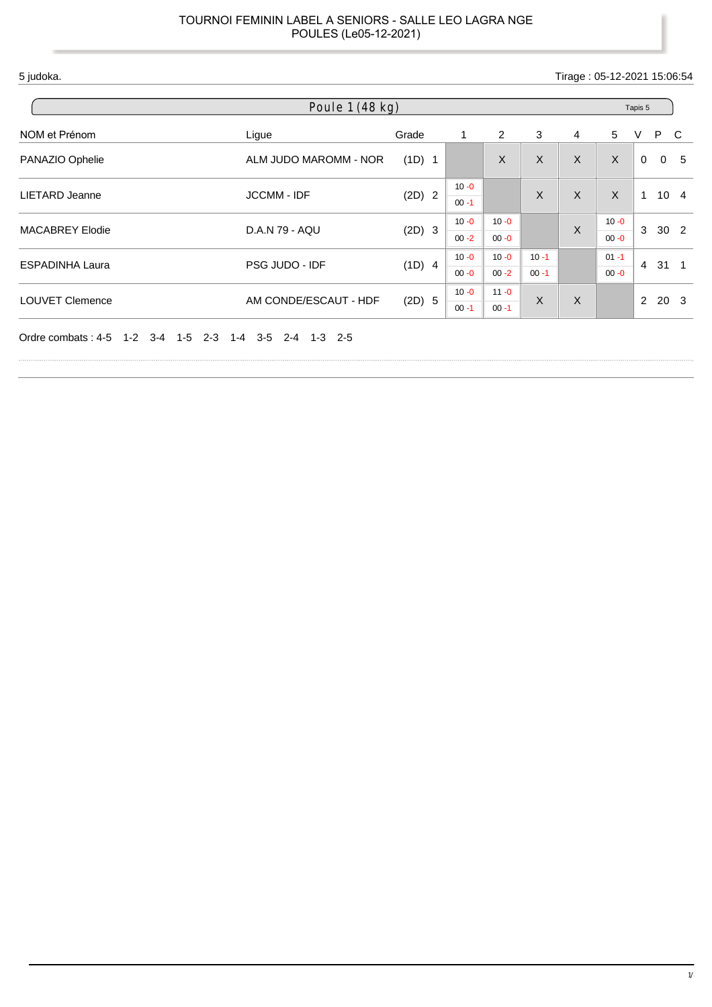5 judoka. Tirage : 05-12-2021 15:06:54

| Poule $1(48 \text{ kg})$<br>Tapis 5           |                               |          |                      |                      |                      |   |                      |                |                 |   |
|-----------------------------------------------|-------------------------------|----------|----------------------|----------------------|----------------------|---|----------------------|----------------|-----------------|---|
| NOM et Prénom                                 | Ligue                         | Grade    | 1                    | 2                    | 3                    | 4 | 5                    | V              | P C             |   |
| PANAZIO Ophelie                               | ALM JUDO MAROMM - NOR         | (1D) 1   |                      | $\mathsf{X}$         | $\mathsf{X}$         | X | $\sf X$              | $\mathbf{0}$   | $\mathbf{0}$    | 5 |
| <b>LIETARD Jeanne</b>                         | <b>JCCMM - IDF</b>            | $(2D)$ 2 | $10 - 0$<br>$00 - 1$ |                      | X                    | X | $\sf X$              | $\mathbf{1}$   | $10 \quad 4$    |   |
| <b>MACABREY Elodie</b>                        | D.A.N 79 - AQU                | $(2D)$ 3 | $10 - 0$<br>$00 - 2$ | $10 - 0$<br>$00 - 0$ |                      | X | $10 - 0$<br>$00 - 0$ | 3              | 30 <sub>2</sub> |   |
| <b>ESPADINHA Laura</b>                        | PSG JUDO - IDF                | (1D) 4   | $10 - 0$<br>$00 - 0$ | $10 - 0$<br>$00 - 2$ | $10 - 1$<br>$00 - 1$ |   | $01 - 1$<br>$00 - 0$ | $\overline{4}$ | $31 \quad 1$    |   |
| <b>LOUVET Clemence</b>                        | AM CONDE/ESCAUT - HDF         | (2D) 5   | $10 - 0$<br>$00 - 1$ | $11 - 0$<br>$00 - 1$ | X                    | X |                      | 2              | 20 <sub>3</sub> |   |
| $1-2$ $3-4$ $1-5$ $2-3$<br>Ordre combats: 4-5 | $1-4$ $3-5$ $2-4$ $1-3$ $2-5$ |          |                      |                      |                      |   |                      |                |                 |   |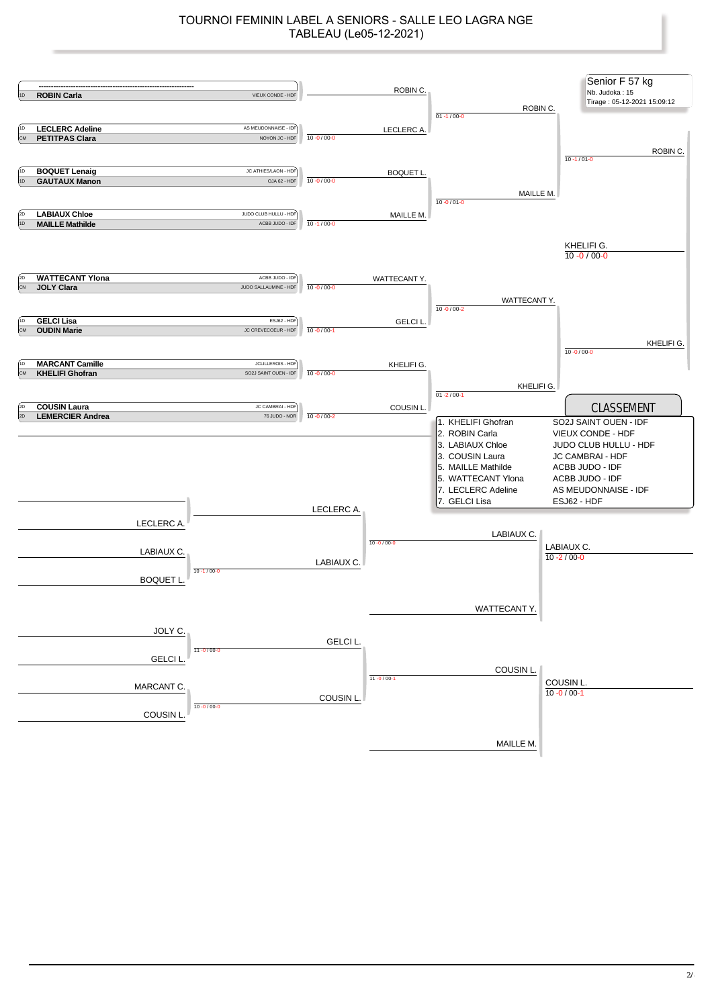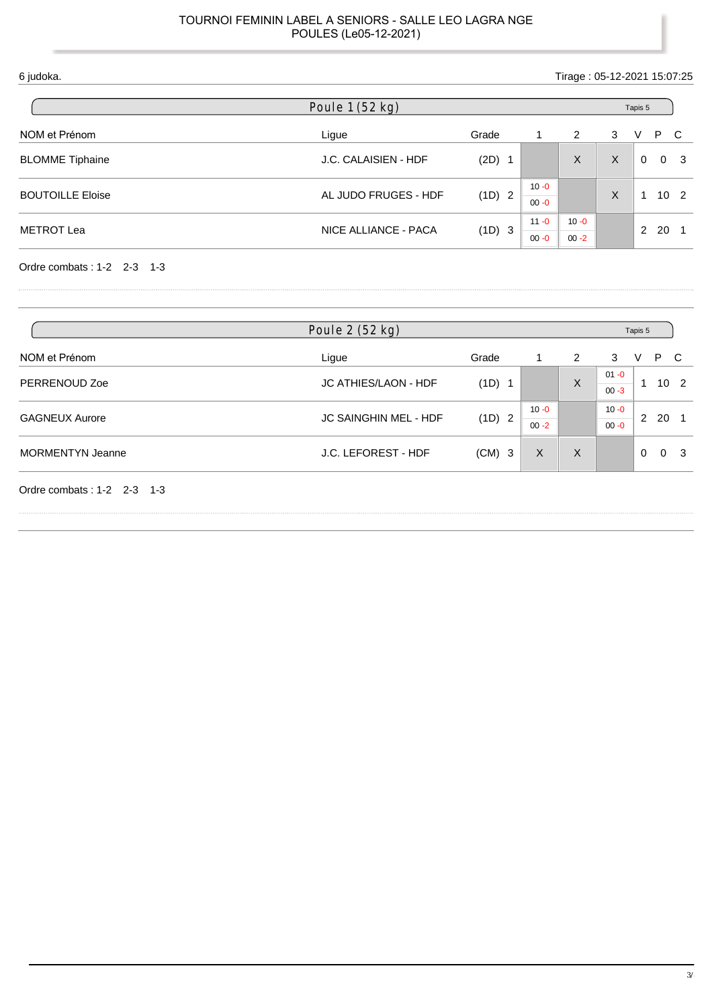| 6 judoka.               |                      |        |                      | Tirage: 05-12-2021 15:07:25 |   |               |     |                 |
|-------------------------|----------------------|--------|----------------------|-----------------------------|---|---------------|-----|-----------------|
|                         | Poule 1 (52 kg)      |        |                      |                             |   | Tapis 5       |     |                 |
| NOM et Prénom           | Ligue                | Grade  | 1                    | 2                           | 3 | v             | P C |                 |
| <b>BLOMME Tiphaine</b>  | J.C. CALAISIEN - HDF | (2D)   |                      | X                           | X | $\Omega$      |     | 0 <sup>3</sup>  |
| <b>BOUTOILLE Eloise</b> | AL JUDO FRUGES - HDF | (1D) 2 | $10 - 0$<br>$00 - 0$ |                             | X |               |     | 10 <sub>2</sub> |
| <b>METROT Lea</b>       | NICE ALLIANCE - PACA | (1D) 3 | $11 - 0$<br>$00 - 0$ | $10 - 0$<br>$00 - 2$        |   | $\mathcal{P}$ | 20  |                 |

Ordre combats : 1-2 2-3 1-3

|                            | Poule 2 (52 kg)       |          |                      |          | Tapis 5              |          |                 |     |
|----------------------------|-----------------------|----------|----------------------|----------|----------------------|----------|-----------------|-----|
| NOM et Prénom              | Ligue                 | Grade    |                      | 2        | 3                    | V        | P               | C.  |
| PERRENOUD Zoe              | JC ATHIES/LAON - HDF  | $(1D)$ 1 |                      | $\sf X$  | $01 - 0$<br>$00 - 3$ |          | 10 <sub>2</sub> |     |
| <b>GAGNEUX Aurore</b>      | JC SAINGHIN MEL - HDF | (1D) 2   | $10 - 0$<br>$00 - 2$ |          | $10 - 0$<br>$00 - 0$ | 2        | 20              |     |
| <b>MORMENTYN Jeanne</b>    | J.C. LEFOREST - HDF   | $(CM)$ 3 | X                    | $\times$ |                      | $\Omega$ | $\Omega$        | - 3 |
| Ordre combats: 1-2 2-3 1-3 |                       |          |                      |          |                      |          |                 |     |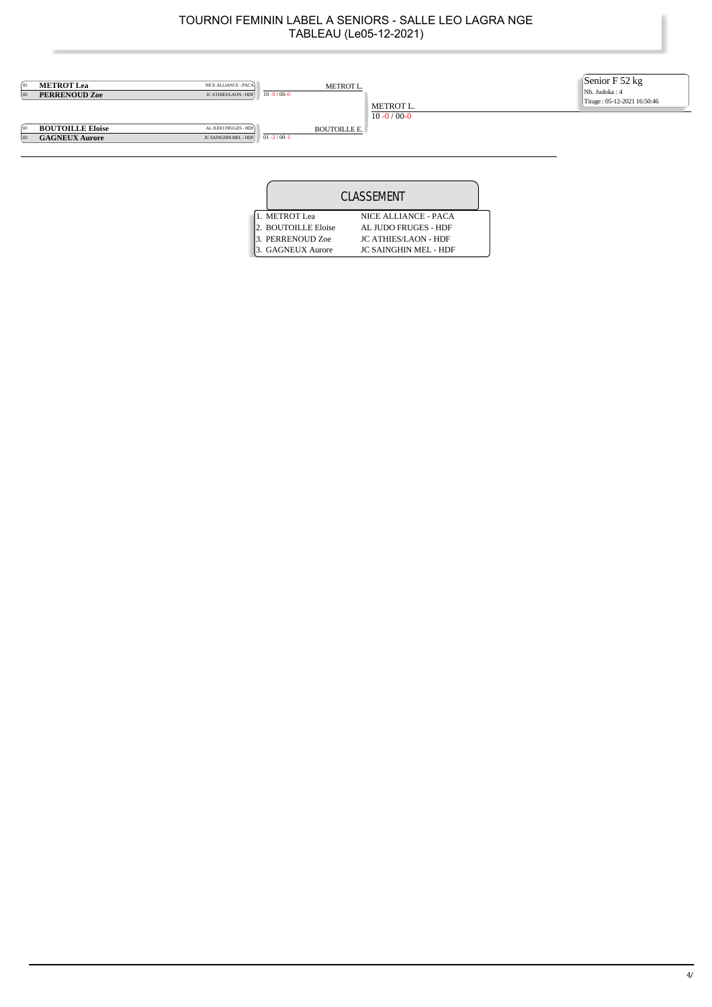

| CLASSEMENT          |                              |  |  |  |  |  |
|---------------------|------------------------------|--|--|--|--|--|
| 1. METROT Lea       | NICE ALLIANCE - PACA         |  |  |  |  |  |
| 2. BOUTOILLE Eloise | AL JUDO FRUGES - HDF         |  |  |  |  |  |
| 3. PERRENOUD Zoe    | <b>JC ATHIES/LAON - HDF</b>  |  |  |  |  |  |
| 3. GAGNEUX Aurore   | <b>JC SAINGHIN MEL - HDF</b> |  |  |  |  |  |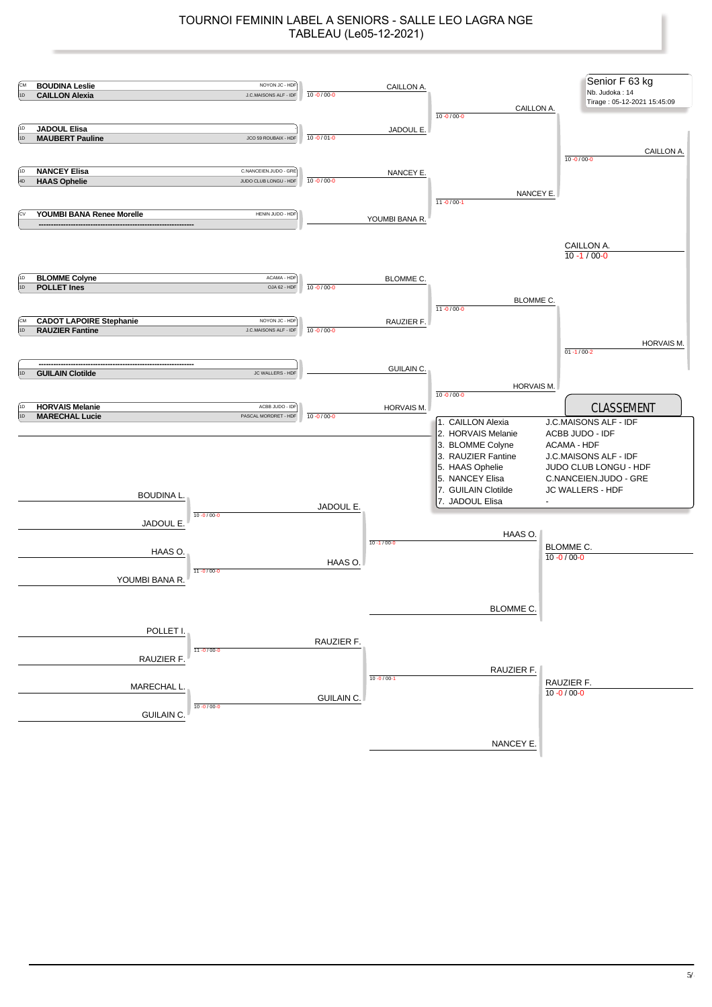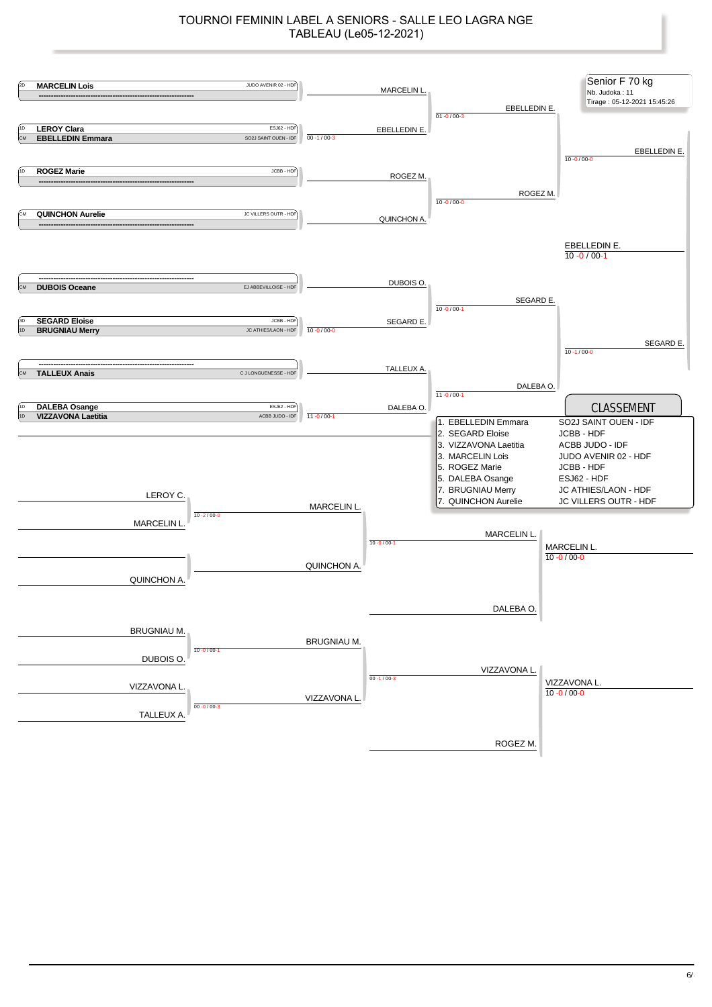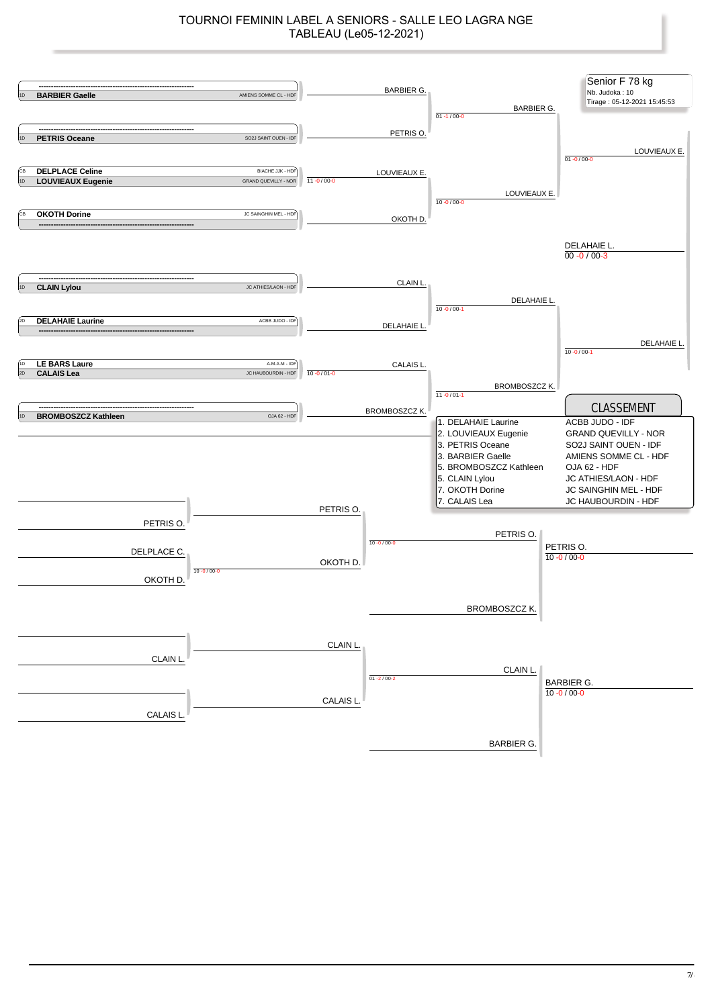